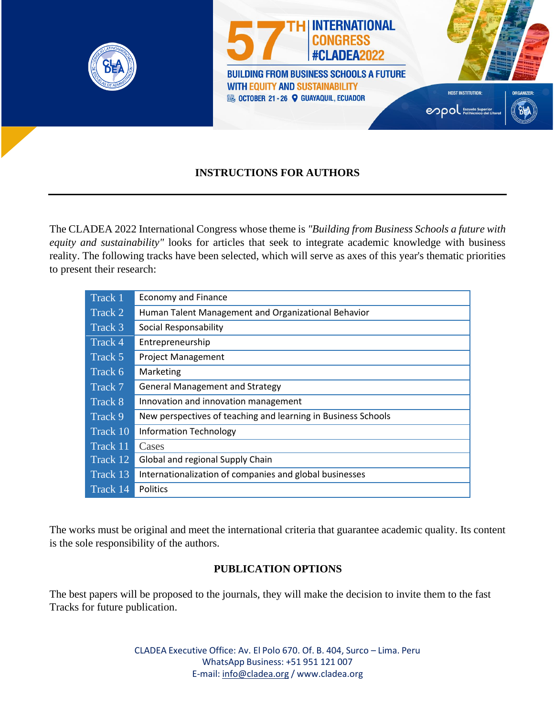

## **INSTRUCTIONS FOR AUTHORS**

The CLADEA 2022 International Congress whose theme is *"Building from Business Schools a future with equity and sustainability"* looks for articles that seek to integrate academic knowledge with business reality. The following tracks have been selected, which will serve as axes of this year's thematic priorities to present their research:

| Track 1  | <b>Economy and Finance</b>                                    |  |
|----------|---------------------------------------------------------------|--|
| Track 2  | Human Talent Management and Organizational Behavior           |  |
| Track 3  | Social Responsability                                         |  |
| Track 4  | Entrepreneurship                                              |  |
| Track 5  | <b>Project Management</b>                                     |  |
| Track 6  | Marketing                                                     |  |
| Track 7  | <b>General Management and Strategy</b>                        |  |
| Track 8  | Innovation and innovation management                          |  |
| Track 9  | New perspectives of teaching and learning in Business Schools |  |
| Track 10 | <b>Information Technology</b>                                 |  |
| Track 11 | Cases                                                         |  |
| Track 12 | Global and regional Supply Chain                              |  |
| Track 13 | Internationalization of companies and global businesses       |  |
| Track 14 | <b>Politics</b>                                               |  |

The works must be original and meet the international criteria that guarantee academic quality. Its content is the sole responsibility of the authors.

#### **PUBLICATION OPTIONS**

The best papers will be proposed to the journals, they will make the decision to invite them to the fast Tracks for future publication.

> CLADEA Executive Office: Av. El Polo 670. Of. B. 404, Surco – Lima. Peru WhatsApp Business: +51 951 121 007 E-mail: [info@cladea.org](mailto:info@cladea.org) / [www.cladea.org](http://www.cladea.org/)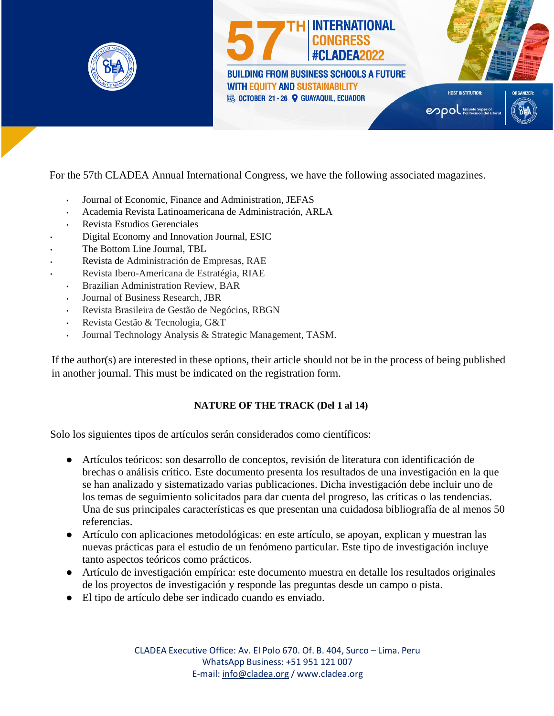

For the 57th CLADEA Annual International Congress, we have the following associated magazines.

- Journal of Economic, Finance and Administration, JEFAS
- Academia Revista Latinoamericana de Administración, ARLA  $\ddot{\phantom{a}}$
- Revista Estudios Gerenciales
- Digital Economy and Innovation Journal, ESIC
- The Bottom Line Journal, TBL
- Revista de Administración de Empresas, RAE
- Revista Ibero-Americana de Estratégia, RIAE
	- Brazilian Administration Review, BAR
	- Journal of Business Research, JBR  $\ddot{\phantom{0}}$
	- Revista Brasileira de Gestão de Negócios, RBGN
	- Revista Gestão & Tecnologia, G&T
	- Journal Technology Analysis & Strategic Management, TASM.  $\ddot{\phantom{a}}$

If the author(s) are interested in these options, their article should not be in the process of being published in another journal. This must be indicated on the registration form.

#### **NATURE OF THE TRACK (Del 1 al 14)**

Solo los siguientes tipos de artículos serán considerados como científicos:

- Artículos teóricos: son desarrollo de conceptos, revisión de literatura con identificación de brechas o análisis crítico. Este documento presenta los resultados de una investigación en la que se han analizado y sistematizado varias publicaciones. Dicha investigación debe incluir uno de los temas de seguimiento solicitados para dar cuenta del progreso, las críticas o las tendencias. Una de sus principales características es que presentan una cuidadosa bibliografía de al menos 50 referencias.
- Artículo con aplicaciones metodológicas: en este artículo, se apoyan, explican y muestran las nuevas prácticas para el estudio de un fenómeno particular. Este tipo de investigación incluye tanto aspectos teóricos como prácticos.
- Artículo de investigación empírica: este documento muestra en detalle los resultados originales de los proyectos de investigación y responde las preguntas desde un campo o pista.
- El tipo de artículo debe ser indicado cuando es enviado.

CLADEA Executive Office: Av. El Polo 670. Of. B. 404, Surco – Lima. Peru WhatsApp Business: +51 951 121 007 E-mail: [info@cladea.org](mailto:info@cladea.org) / [www.cladea.org](http://www.cladea.org/)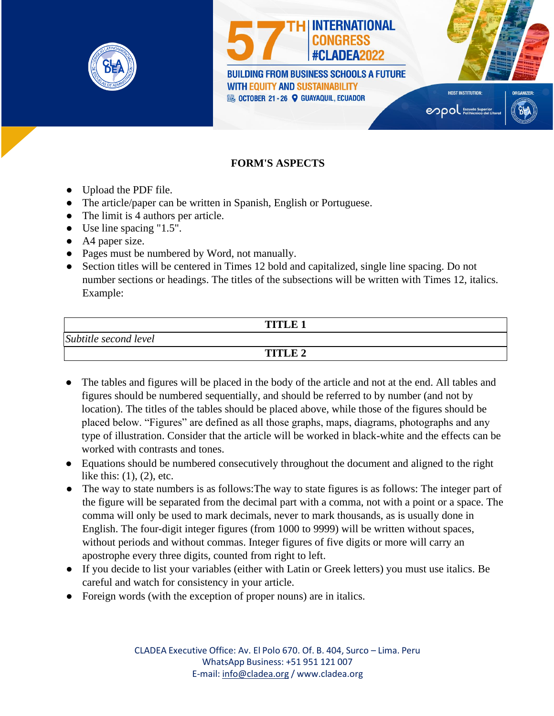

# **INTERNATIONAL** #CLADEA2022 **BUILDING FROM BUSINESS SCHOOLS A FUTURE WITH EQUITY AND SUSTAINABILITY**

**EU OCTOBER 21 - 26 Q GUAYAQUIL, ECUADOR** 

enpol Escuela Superior

**HOST INSTITUTION** 



## **FORM'S ASPECTS**

- Upload the PDF file.
- The article/paper can be written in Spanish, English or Portuguese.
- The limit is 4 authors per article.
- Use line spacing "1.5".
- A4 paper size.
- Pages must be numbered by Word, not manually.
- Section titles will be centered in Times 12 bold and capitalized, single line spacing. Do not number sections or headings. The titles of the subsections will be written with Times 12, italics. Example:

|                       | <b>TITLE 1</b> |  |
|-----------------------|----------------|--|
| Subtitle second level |                |  |
|                       | TITLE 2        |  |

- The tables and figures will be placed in the body of the article and not at the end. All tables and figures should be numbered sequentially, and should be referred to by number (and not by location). The titles of the tables should be placed above, while those of the figures should be placed below. "Figures" are defined as all those graphs, maps, diagrams, photographs and any type of illustration. Consider that the article will be worked in black-white and the effects can be worked with contrasts and tones.
- Equations should be numbered consecutively throughout the document and aligned to the right like this:  $(1)$ ,  $(2)$ , etc.
- The way to state numbers is as follows: The way to state figures is as follows: The integer part of the figure will be separated from the decimal part with a comma, not with a point or a space. The comma will only be used to mark decimals, never to mark thousands, as is usually done in English. The four-digit integer figures (from 1000 to 9999) will be written without spaces, without periods and without commas. Integer figures of five digits or more will carry an apostrophe every three digits, counted from right to left.
- If you decide to list your variables (either with Latin or Greek letters) you must use italics. Be careful and watch for consistency in your article.
- Foreign words (with the exception of proper nouns) are in italics.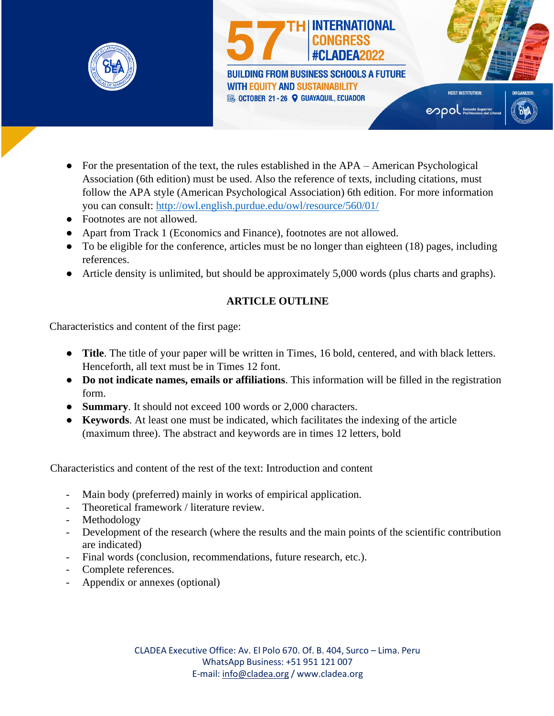



- For the presentation of the text, the rules established in the APA American Psychological Association (6th edition) must be used. Also the reference of texts, including citations, must follow the APA style (American Psychological Association) 6th edition. For more information you can consult:<http://owl.english.purdue.edu/owl/resource/560/01/>
- Footnotes are not allowed.
- Apart from Track 1 (Economics and Finance), footnotes are not allowed.
- To be eligible for the conference, articles must be no longer than eighteen (18) pages, including references.
- Article density is unlimited, but should be approximately 5,000 words (plus charts and graphs).

## **ARTICLE OUTLINE**

Characteristics and content of the first page:

- **Title**. The title of your paper will be written in Times, 16 bold, centered, and with black letters. Henceforth, all text must be in Times 12 font.
- **Do not indicate names, emails or affiliations**. This information will be filled in the registration form.
- **Summary**. It should not exceed 100 words or 2,000 characters.
- **Keywords**. At least one must be indicated, which facilitates the indexing of the article (maximum three). The abstract and keywords are in times 12 letters, bold

Characteristics and content of the rest of the text: Introduction and content

- Main body (preferred) mainly in works of empirical application.
- Theoretical framework / literature review.
- Methodology
- Development of the research (where the results and the main points of the scientific contribution are indicated)
- Final words (conclusion, recommendations, future research, etc.).
- Complete references.
- Appendix or annexes (optional)